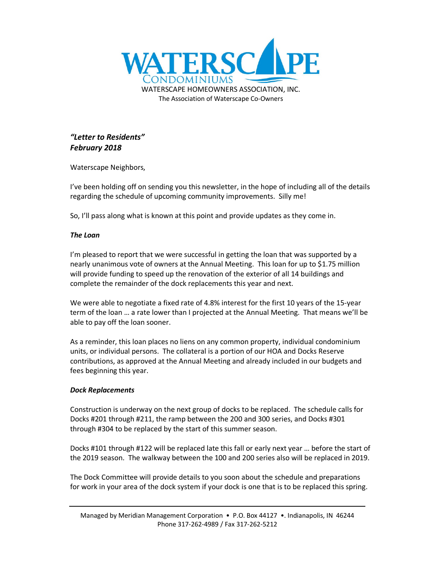

# *"Letter to Residents" February 2018*

Waterscape Neighbors,

I've been holding off on sending you this newsletter, in the hope of including all of the details regarding the schedule of upcoming community improvements. Silly me!

So, I'll pass along what is known at this point and provide updates as they come in.

# *The Loan*

I'm pleased to report that we were successful in getting the loan that was supported by a nearly unanimous vote of owners at the Annual Meeting. This loan for up to \$1.75 million will provide funding to speed up the renovation of the exterior of all 14 buildings and complete the remainder of the dock replacements this year and next.

We were able to negotiate a fixed rate of 4.8% interest for the first 10 years of the 15-year term of the loan … a rate lower than I projected at the Annual Meeting. That means we'll be able to pay off the loan sooner.

As a reminder, this loan places no liens on any common property, individual condominium units, or individual persons. The collateral is a portion of our HOA and Docks Reserve contributions, as approved at the Annual Meeting and already included in our budgets and fees beginning this year.

# *Dock Replacements*

Construction is underway on the next group of docks to be replaced. The schedule calls for Docks #201 through #211, the ramp between the 200 and 300 series, and Docks #301 through #304 to be replaced by the start of this summer season.

Docks #101 through #122 will be replaced late this fall or early next year … before the start of the 2019 season. The walkway between the 100 and 200 series also will be replaced in 2019.

The Dock Committee will provide details to you soon about the schedule and preparations for work in your area of the dock system if your dock is one that is to be replaced this spring.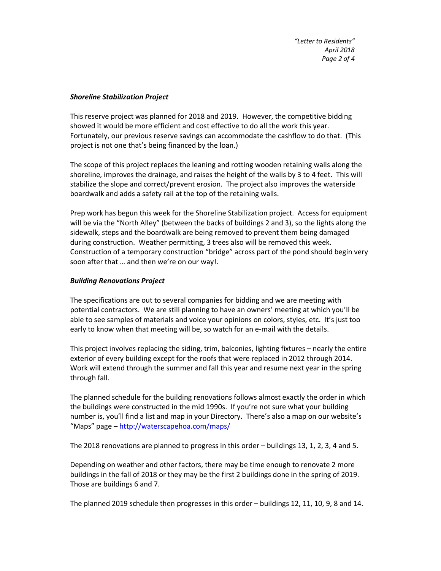## *Shoreline Stabilization Project*

This reserve project was planned for 2018 and 2019. However, the competitive bidding showed it would be more efficient and cost effective to do all the work this year. Fortunately, our previous reserve savings can accommodate the cashflow to do that. (This project is not one that's being financed by the loan.)

The scope of this project replaces the leaning and rotting wooden retaining walls along the shoreline, improves the drainage, and raises the height of the walls by 3 to 4 feet. This will stabilize the slope and correct/prevent erosion. The project also improves the waterside boardwalk and adds a safety rail at the top of the retaining walls.

Prep work has begun this week for the Shoreline Stabilization project. Access for equipment will be via the "North Alley" (between the backs of buildings 2 and 3), so the lights along the sidewalk, steps and the boardwalk are being removed to prevent them being damaged during construction. Weather permitting, 3 trees also will be removed this week. Construction of a temporary construction "bridge" across part of the pond should begin very soon after that … and then we're on our way!.

### *Building Renovations Project*

The specifications are out to several companies for bidding and we are meeting with potential contractors. We are still planning to have an owners' meeting at which you'll be able to see samples of materials and voice your opinions on colors, styles, etc. It's just too early to know when that meeting will be, so watch for an e-mail with the details.

This project involves replacing the siding, trim, balconies, lighting fixtures – nearly the entire exterior of every building except for the roofs that were replaced in 2012 through 2014. Work will extend through the summer and fall this year and resume next year in the spring through fall.

The planned schedule for the building renovations follows almost exactly the order in which the buildings were constructed in the mid 1990s. If you're not sure what your building number is, you'll find a list and map in your Directory. There's also a map on our website's "Maps" page – http://waterscapehoa.com/maps/

The 2018 renovations are planned to progress in this order – buildings 13, 1, 2, 3, 4 and 5.

Depending on weather and other factors, there may be time enough to renovate 2 more buildings in the fall of 2018 or they may be the first 2 buildings done in the spring of 2019. Those are buildings 6 and 7.

The planned 2019 schedule then progresses in this order – buildings 12, 11, 10, 9, 8 and 14.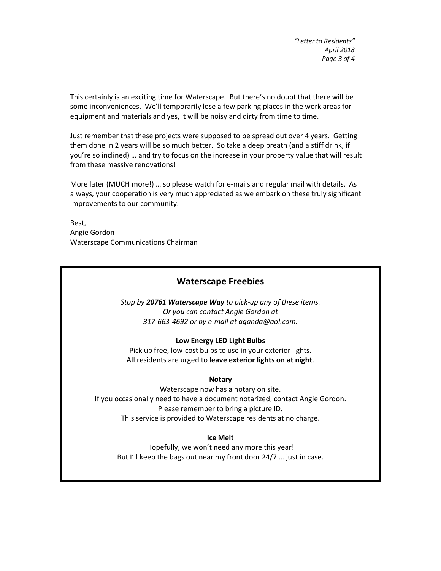*"Letter to Residents" April 2018 Page 3 of 4*

This certainly is an exciting time for Waterscape. But there's no doubt that there will be some inconveniences. We'll temporarily lose a few parking places in the work areas for equipment and materials and yes, it will be noisy and dirty from time to time.

Just remember that these projects were supposed to be spread out over 4 years. Getting them done in 2 years will be so much better. So take a deep breath (and a stiff drink, if you're so inclined) … and try to focus on the increase in your property value that will result from these massive renovations!

More later (MUCH more!) … so please watch for e-mails and regular mail with details. As always, your cooperation is very much appreciated as we embark on these truly significant improvements to our community.

Best, Angie Gordon Waterscape Communications Chairman

# **Waterscape Freebies**

*Stop by 20761 Waterscape Way to pick-up any of these items. Or you can contact Angie Gordon at 317-663-4692 or by e-mail at aganda@aol.com.*

#### **Low Energy LED Light Bulbs**

Pick up free, low-cost bulbs to use in your exterior lights. All residents are urged to **leave exterior lights on at night**.

#### **Notary**

Waterscape now has a notary on site. If you occasionally need to have a document notarized, contact Angie Gordon. Please remember to bring a picture ID. This service is provided to Waterscape residents at no charge.

#### **Ice Melt**

Hopefully, we won't need any more this year! But I'll keep the bags out near my front door 24/7 … just in case.